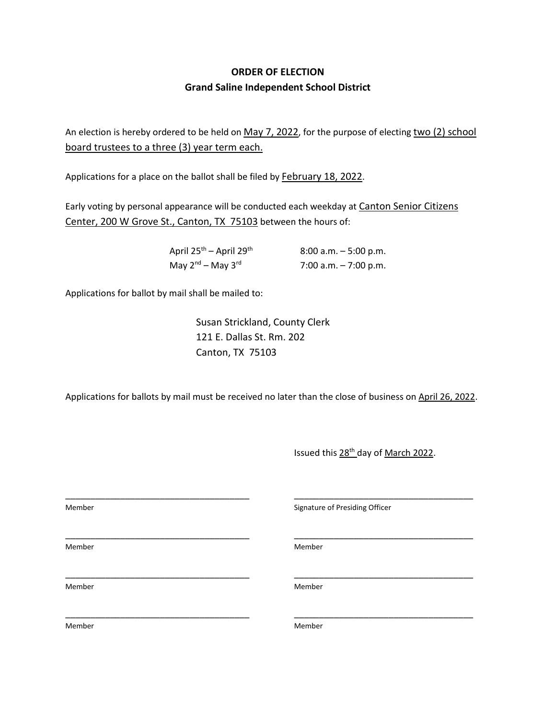## **ORDER OF ELECTION Grand Saline Independent School District**

An election is hereby ordered to be held on May 7, 2022, for the purpose of electing two (2) school board trustees to a three (3) year term each.

Applications for a place on the ballot shall be filed by **February 18, 2022**.

Early voting by personal appearance will be conducted each weekday at Canton Senior Citizens Center, 200 W Grove St., Canton, TX 75103 between the hours of:

| April $25^{th}$ – April $29^{th}$ | $8:00$ a.m. $-5:00$ p.m. |
|-----------------------------------|--------------------------|
| May $2^{nd}$ – May $3^{rd}$       | 7:00 a.m. $-7:00$ p.m.   |

Applications for ballot by mail shall be mailed to:

Susan Strickland, County Clerk 121 E. Dallas St. Rm. 202 Canton, TX 75103

Applications for ballots by mail must be received no later than the close of business on April 26, 2022.

Issued this 28th day of March 2022.

\_\_\_\_\_\_\_\_\_\_\_\_\_\_\_\_\_\_\_\_\_\_\_\_\_\_\_\_\_\_\_\_\_\_\_\_\_ \_\_\_\_\_\_\_\_\_\_\_\_\_\_\_\_\_\_\_\_\_\_\_\_\_\_\_\_\_\_\_\_\_\_\_\_ Member **Member** Signature of Presiding Officer \_\_\_\_\_\_\_\_\_\_\_\_\_\_\_\_\_\_\_\_\_\_\_\_\_\_\_\_\_\_\_\_\_\_\_\_\_ \_\_\_\_\_\_\_\_\_\_\_\_\_\_\_\_\_\_\_\_\_\_\_\_\_\_\_\_\_\_\_\_\_\_\_\_ Member Member \_\_\_\_\_\_\_\_\_\_\_\_\_\_\_\_\_\_\_\_\_\_\_\_\_\_\_\_\_\_\_\_\_\_\_\_\_ \_\_\_\_\_\_\_\_\_\_\_\_\_\_\_\_\_\_\_\_\_\_\_\_\_\_\_\_\_\_\_\_\_\_\_\_ Member Member \_\_\_\_\_\_\_\_\_\_\_\_\_\_\_\_\_\_\_\_\_\_\_\_\_\_\_\_\_\_\_\_\_\_\_\_\_ \_\_\_\_\_\_\_\_\_\_\_\_\_\_\_\_\_\_\_\_\_\_\_\_\_\_\_\_\_\_\_\_\_\_\_\_ Member Member